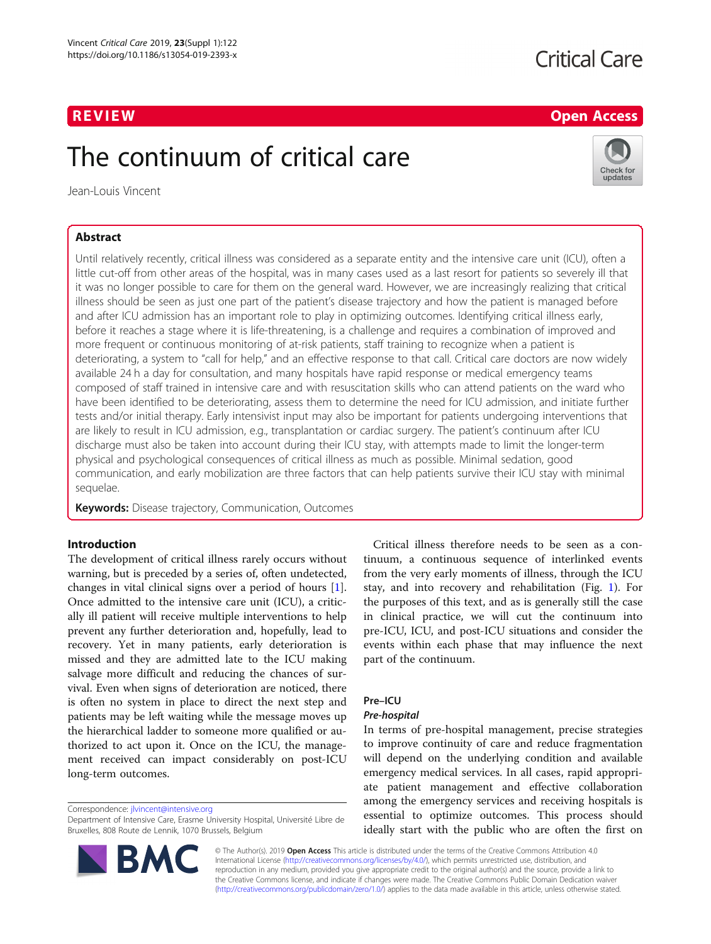# The continuum of critical care

Jean-Louis Vincent

# Abstract

Until relatively recently, critical illness was considered as a separate entity and the intensive care unit (ICU), often a little cut-off from other areas of the hospital, was in many cases used as a last resort for patients so severely ill that it was no longer possible to care for them on the general ward. However, we are increasingly realizing that critical illness should be seen as just one part of the patient's disease trajectory and how the patient is managed before and after ICU admission has an important role to play in optimizing outcomes. Identifying critical illness early, before it reaches a stage where it is life-threatening, is a challenge and requires a combination of improved and more frequent or continuous monitoring of at-risk patients, staff training to recognize when a patient is deteriorating, a system to "call for help," and an effective response to that call. Critical care doctors are now widely available 24 h a day for consultation, and many hospitals have rapid response or medical emergency teams composed of staff trained in intensive care and with resuscitation skills who can attend patients on the ward who have been identified to be deteriorating, assess them to determine the need for ICU admission, and initiate further tests and/or initial therapy. Early intensivist input may also be important for patients undergoing interventions that are likely to result in ICU admission, e.g., transplantation or cardiac surgery. The patient's continuum after ICU discharge must also be taken into account during their ICU stay, with attempts made to limit the longer-term physical and psychological consequences of critical illness as much as possible. Minimal sedation, good communication, and early mobilization are three factors that can help patients survive their ICU stay with minimal sequelae.

Keywords: Disease trajectory, Communication, Outcomes

# Introduction

The development of critical illness rarely occurs without warning, but is preceded by a series of, often undetected, changes in vital clinical signs over a period of hours [\[1](#page-3-0)]. Once admitted to the intensive care unit (ICU), a critically ill patient will receive multiple interventions to help prevent any further deterioration and, hopefully, lead to recovery. Yet in many patients, early deterioration is missed and they are admitted late to the ICU making salvage more difficult and reducing the chances of survival. Even when signs of deterioration are noticed, there is often no system in place to direct the next step and patients may be left waiting while the message moves up the hierarchical ladder to someone more qualified or authorized to act upon it. Once on the ICU, the management received can impact considerably on post-ICU long-term outcomes.

Correspondence: [jlvincent@intensive.org](mailto:jlvincent@intensive.org)

Department of Intensive Care, Erasme University Hospital, Université Libre de Bruxelles, 808 Route de Lennik, 1070 Brussels, Belgium

> © The Author(s). 2019 Open Access This article is distributed under the terms of the Creative Commons Attribution 4.0 International License [\(http://creativecommons.org/licenses/by/4.0/](http://creativecommons.org/licenses/by/4.0/)), which permits unrestricted use, distribution, and reproduction in any medium, provided you give appropriate credit to the original author(s) and the source, provide a link to the Creative Commons license, and indicate if changes were made. The Creative Commons Public Domain Dedication waiver [\(http://creativecommons.org/publicdomain/zero/1.0/](http://creativecommons.org/publicdomain/zero/1.0/)) applies to the data made available in this article, unless otherwise stated.

Critical illness therefore needs to be seen as a continuum, a continuous sequence of interlinked events from the very early moments of illness, through the ICU stay, and into recovery and rehabilitation (Fig. [1](#page-1-0)). For the purposes of this text, and as is generally still the case in clinical practice, we will cut the continuum into pre-ICU, ICU, and post-ICU situations and consider the events within each phase that may influence the next part of the continuum.

# Pre–ICU

# Pre-hospital

In terms of pre-hospital management, precise strategies to improve continuity of care and reduce fragmentation will depend on the underlying condition and available emergency medical services. In all cases, rapid appropriate patient management and effective collaboration among the emergency services and receiving hospitals is essential to optimize outcomes. This process should ideally start with the public who are often the first on

# R EVI EW Open Access



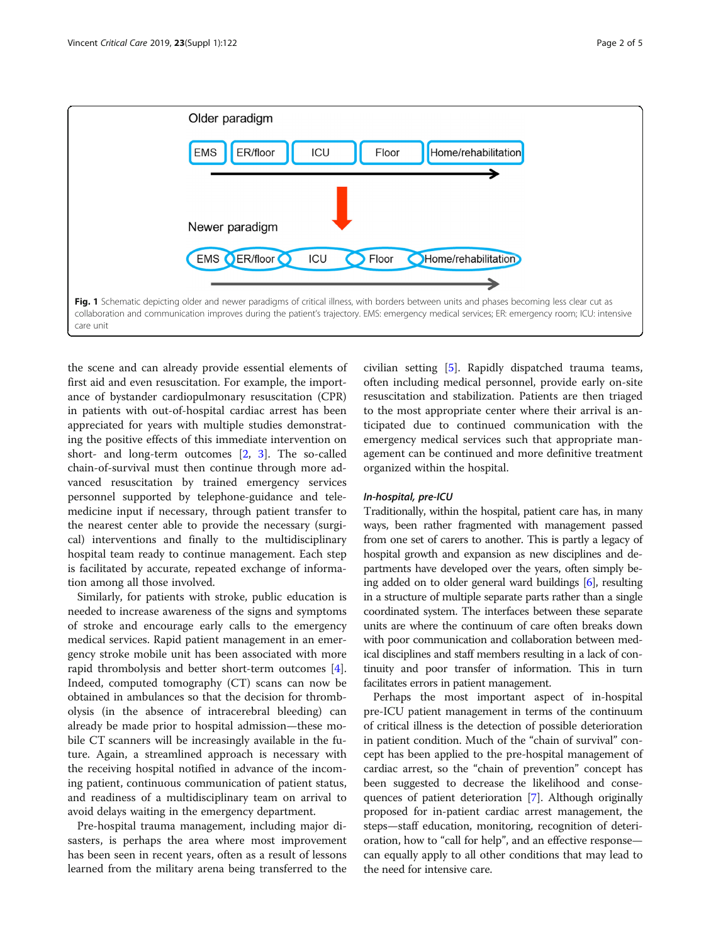<span id="page-1-0"></span>

the scene and can already provide essential elements of first aid and even resuscitation. For example, the importance of bystander cardiopulmonary resuscitation (CPR) in patients with out-of-hospital cardiac arrest has been appreciated for years with multiple studies demonstrating the positive effects of this immediate intervention on short- and long-term outcomes  $[2, 3]$  $[2, 3]$  $[2, 3]$  $[2, 3]$ . The so-called chain-of-survival must then continue through more advanced resuscitation by trained emergency services personnel supported by telephone-guidance and telemedicine input if necessary, through patient transfer to the nearest center able to provide the necessary (surgical) interventions and finally to the multidisciplinary hospital team ready to continue management. Each step is facilitated by accurate, repeated exchange of information among all those involved.

Similarly, for patients with stroke, public education is needed to increase awareness of the signs and symptoms of stroke and encourage early calls to the emergency medical services. Rapid patient management in an emergency stroke mobile unit has been associated with more rapid thrombolysis and better short-term outcomes [\[4](#page-4-0)]. Indeed, computed tomography (CT) scans can now be obtained in ambulances so that the decision for thrombolysis (in the absence of intracerebral bleeding) can already be made prior to hospital admission—these mobile CT scanners will be increasingly available in the future. Again, a streamlined approach is necessary with the receiving hospital notified in advance of the incoming patient, continuous communication of patient status, and readiness of a multidisciplinary team on arrival to avoid delays waiting in the emergency department.

Pre-hospital trauma management, including major disasters, is perhaps the area where most improvement has been seen in recent years, often as a result of lessons learned from the military arena being transferred to the civilian setting [[5\]](#page-4-0). Rapidly dispatched trauma teams, often including medical personnel, provide early on-site resuscitation and stabilization. Patients are then triaged to the most appropriate center where their arrival is anticipated due to continued communication with the emergency medical services such that appropriate management can be continued and more definitive treatment organized within the hospital.

## In-hospital, pre-ICU

Traditionally, within the hospital, patient care has, in many ways, been rather fragmented with management passed from one set of carers to another. This is partly a legacy of hospital growth and expansion as new disciplines and departments have developed over the years, often simply being added on to older general ward buildings [\[6](#page-4-0)], resulting in a structure of multiple separate parts rather than a single coordinated system. The interfaces between these separate units are where the continuum of care often breaks down with poor communication and collaboration between medical disciplines and staff members resulting in a lack of continuity and poor transfer of information. This in turn facilitates errors in patient management.

Perhaps the most important aspect of in-hospital pre-ICU patient management in terms of the continuum of critical illness is the detection of possible deterioration in patient condition. Much of the "chain of survival" concept has been applied to the pre-hospital management of cardiac arrest, so the "chain of prevention" concept has been suggested to decrease the likelihood and consequences of patient deterioration [\[7\]](#page-4-0). Although originally proposed for in-patient cardiac arrest management, the steps—staff education, monitoring, recognition of deterioration, how to "call for help", and an effective response can equally apply to all other conditions that may lead to the need for intensive care.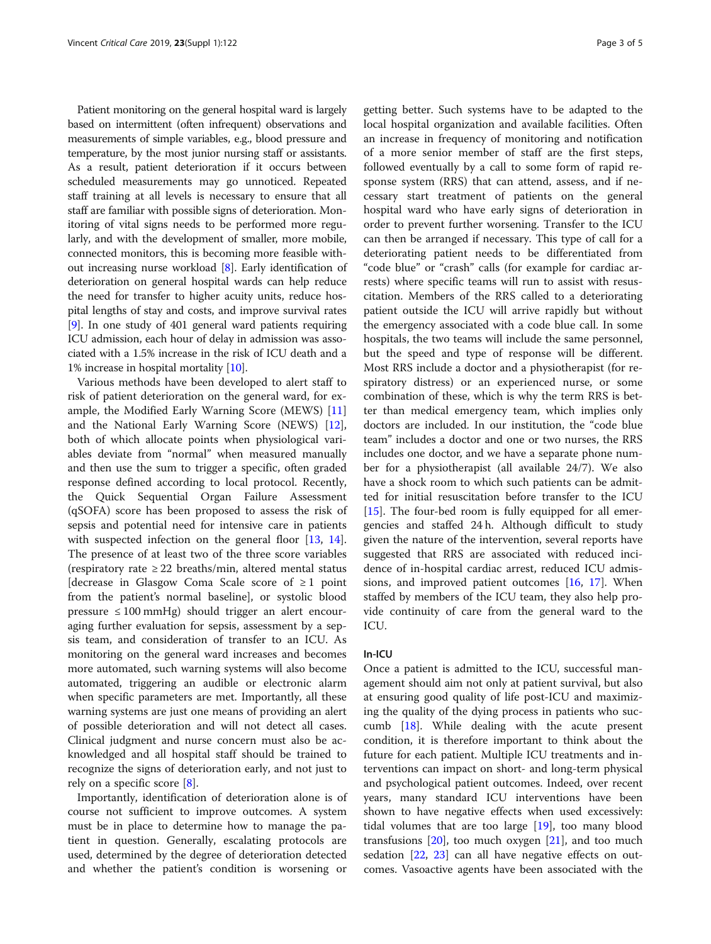Patient monitoring on the general hospital ward is largely based on intermittent (often infrequent) observations and measurements of simple variables, e.g., blood pressure and temperature, by the most junior nursing staff or assistants. As a result, patient deterioration if it occurs between scheduled measurements may go unnoticed. Repeated staff training at all levels is necessary to ensure that all staff are familiar with possible signs of deterioration. Monitoring of vital signs needs to be performed more regularly, and with the development of smaller, more mobile, connected monitors, this is becoming more feasible without increasing nurse workload [\[8](#page-4-0)]. Early identification of deterioration on general hospital wards can help reduce the need for transfer to higher acuity units, reduce hospital lengths of stay and costs, and improve survival rates [[9\]](#page-4-0). In one study of 401 general ward patients requiring ICU admission, each hour of delay in admission was associated with a 1.5% increase in the risk of ICU death and a 1% increase in hospital mortality [[10](#page-4-0)].

Various methods have been developed to alert staff to risk of patient deterioration on the general ward, for example, the Modified Early Warning Score (MEWS) [[11](#page-4-0)] and the National Early Warning Score (NEWS) [\[12](#page-4-0)], both of which allocate points when physiological variables deviate from "normal" when measured manually and then use the sum to trigger a specific, often graded response defined according to local protocol. Recently, the Quick Sequential Organ Failure Assessment (qSOFA) score has been proposed to assess the risk of sepsis and potential need for intensive care in patients with suspected infection on the general floor [[13,](#page-4-0) [14](#page-4-0)]. The presence of at least two of the three score variables (respiratory rate ≥ 22 breaths/min, altered mental status [decrease in Glasgow Coma Scale score of  $\geq 1$  point from the patient's normal baseline], or systolic blood pressure ≤ 100 mmHg) should trigger an alert encouraging further evaluation for sepsis, assessment by a sepsis team, and consideration of transfer to an ICU. As monitoring on the general ward increases and becomes more automated, such warning systems will also become automated, triggering an audible or electronic alarm when specific parameters are met. Importantly, all these warning systems are just one means of providing an alert of possible deterioration and will not detect all cases. Clinical judgment and nurse concern must also be acknowledged and all hospital staff should be trained to recognize the signs of deterioration early, and not just to rely on a specific score [\[8](#page-4-0)].

Importantly, identification of deterioration alone is of course not sufficient to improve outcomes. A system must be in place to determine how to manage the patient in question. Generally, escalating protocols are used, determined by the degree of deterioration detected and whether the patient's condition is worsening or

getting better. Such systems have to be adapted to the local hospital organization and available facilities. Often an increase in frequency of monitoring and notification of a more senior member of staff are the first steps, followed eventually by a call to some form of rapid response system (RRS) that can attend, assess, and if necessary start treatment of patients on the general hospital ward who have early signs of deterioration in order to prevent further worsening. Transfer to the ICU can then be arranged if necessary. This type of call for a deteriorating patient needs to be differentiated from "code blue" or "crash" calls (for example for cardiac arrests) where specific teams will run to assist with resuscitation. Members of the RRS called to a deteriorating patient outside the ICU will arrive rapidly but without the emergency associated with a code blue call. In some hospitals, the two teams will include the same personnel, but the speed and type of response will be different. Most RRS include a doctor and a physiotherapist (for respiratory distress) or an experienced nurse, or some combination of these, which is why the term RRS is better than medical emergency team, which implies only doctors are included. In our institution, the "code blue team" includes a doctor and one or two nurses, the RRS includes one doctor, and we have a separate phone number for a physiotherapist (all available 24/7). We also have a shock room to which such patients can be admitted for initial resuscitation before transfer to the ICU [[15\]](#page-4-0). The four-bed room is fully equipped for all emergencies and staffed 24 h. Although difficult to study given the nature of the intervention, several reports have suggested that RRS are associated with reduced incidence of in-hospital cardiac arrest, reduced ICU admissions, and improved patient outcomes [[16,](#page-4-0) [17](#page-4-0)]. When staffed by members of the ICU team, they also help provide continuity of care from the general ward to the ICU.

# In-ICU

Once a patient is admitted to the ICU, successful management should aim not only at patient survival, but also at ensuring good quality of life post-ICU and maximizing the quality of the dying process in patients who succumb [[18\]](#page-4-0). While dealing with the acute present condition, it is therefore important to think about the future for each patient. Multiple ICU treatments and interventions can impact on short- and long-term physical and psychological patient outcomes. Indeed, over recent years, many standard ICU interventions have been shown to have negative effects when used excessively: tidal volumes that are too large [\[19\]](#page-4-0), too many blood transfusions  $[20]$ , too much oxygen  $[21]$  $[21]$ , and too much sedation [[22](#page-4-0), [23](#page-4-0)] can all have negative effects on outcomes. Vasoactive agents have been associated with the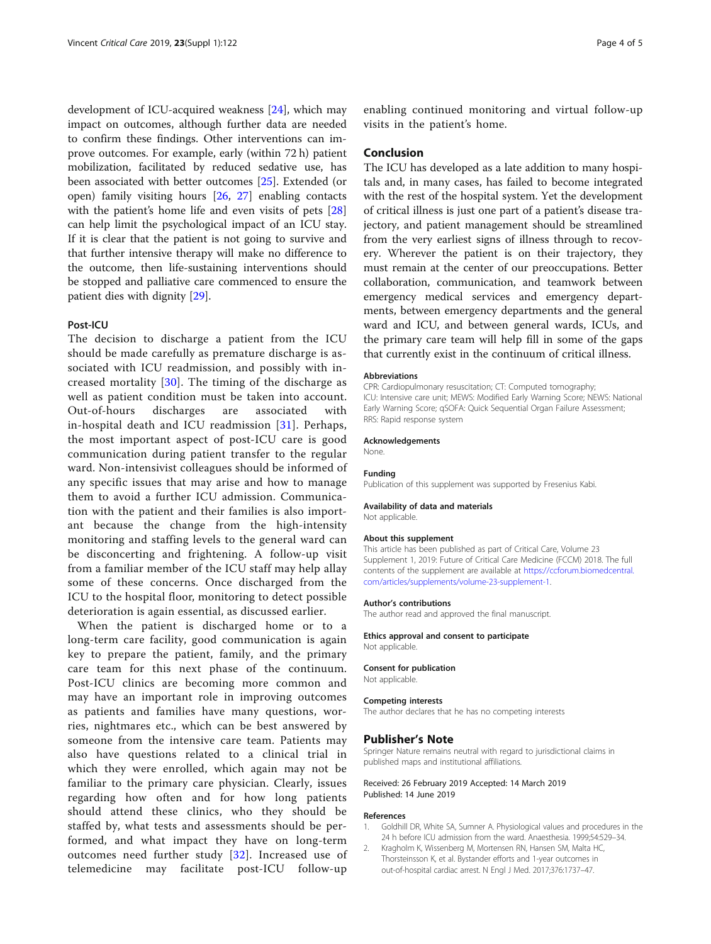<span id="page-3-0"></span>development of ICU-acquired weakness [[24](#page-4-0)], which may impact on outcomes, although further data are needed to confirm these findings. Other interventions can improve outcomes. For example, early (within 72 h) patient mobilization, facilitated by reduced sedative use, has been associated with better outcomes [[25](#page-4-0)]. Extended (or open) family visiting hours [\[26](#page-4-0), [27](#page-4-0)] enabling contacts with the patient's home life and even visits of pets [[28](#page-4-0)] can help limit the psychological impact of an ICU stay. If it is clear that the patient is not going to survive and that further intensive therapy will make no difference to the outcome, then life-sustaining interventions should be stopped and palliative care commenced to ensure the patient dies with dignity [[29\]](#page-4-0).

# Post-ICU

The decision to discharge a patient from the ICU should be made carefully as premature discharge is associated with ICU readmission, and possibly with increased mortality [[30](#page-4-0)]. The timing of the discharge as well as patient condition must be taken into account. Out-of-hours discharges are associated with in-hospital death and ICU readmission [[31\]](#page-4-0). Perhaps, the most important aspect of post-ICU care is good communication during patient transfer to the regular ward. Non-intensivist colleagues should be informed of any specific issues that may arise and how to manage them to avoid a further ICU admission. Communication with the patient and their families is also important because the change from the high-intensity monitoring and staffing levels to the general ward can be disconcerting and frightening. A follow-up visit from a familiar member of the ICU staff may help allay some of these concerns. Once discharged from the ICU to the hospital floor, monitoring to detect possible deterioration is again essential, as discussed earlier.

When the patient is discharged home or to a long-term care facility, good communication is again key to prepare the patient, family, and the primary care team for this next phase of the continuum. Post-ICU clinics are becoming more common and may have an important role in improving outcomes as patients and families have many questions, worries, nightmares etc., which can be best answered by someone from the intensive care team. Patients may also have questions related to a clinical trial in which they were enrolled, which again may not be familiar to the primary care physician. Clearly, issues regarding how often and for how long patients should attend these clinics, who they should be staffed by, what tests and assessments should be performed, and what impact they have on long-term outcomes need further study  $[32]$ . Increased use of telemedicine may facilitate post-ICU follow-up

enabling continued monitoring and virtual follow-up visits in the patient's home.

# Conclusion

The ICU has developed as a late addition to many hospitals and, in many cases, has failed to become integrated with the rest of the hospital system. Yet the development of critical illness is just one part of a patient's disease trajectory, and patient management should be streamlined from the very earliest signs of illness through to recovery. Wherever the patient is on their trajectory, they must remain at the center of our preoccupations. Better collaboration, communication, and teamwork between emergency medical services and emergency departments, between emergency departments and the general ward and ICU, and between general wards, ICUs, and the primary care team will help fill in some of the gaps that currently exist in the continuum of critical illness.

### Abbreviations

CPR: Cardiopulmonary resuscitation; CT: Computed tomography; ICU: Intensive care unit; MEWS: Modified Early Warning Score; NEWS: National Early Warning Score; qSOFA: Quick Sequential Organ Failure Assessment; RRS: Rapid response system

#### Acknowledgements

None.

# Funding

Publication of this supplement was supported by Fresenius Kabi.

# Availability of data and materials

Not applicable.

# About this supplement

This article has been published as part of Critical Care, Volume 23 Supplement 1, 2019: Future of Critical Care Medicine (FCCM) 2018. The full contents of the supplement are available at [https://ccforum.biomedcentral.](https://ccforum.biomedcentral.com/articles/supplements/volume-23-supplement-1) [com/articles/supplements/volume-23-supplement-1.](https://ccforum.biomedcentral.com/articles/supplements/volume-23-supplement-1)

### Author's contributions

The author read and approved the final manuscript.

# Ethics approval and consent to participate

Not applicable.

Consent for publication Not applicable.

# Competing interests

The author declares that he has no competing interests

## Publisher's Note

Springer Nature remains neutral with regard to jurisdictional claims in published maps and institutional affiliations.

# Received: 26 February 2019 Accepted: 14 March 2019 Published: 14 June 2019

#### References

- 1. Goldhill DR, White SA, Sumner A. Physiological values and procedures in the 24 h before ICU admission from the ward. Anaesthesia. 1999;54:529–34.
- 2. Kragholm K, Wissenberg M, Mortensen RN, Hansen SM, Malta HC, Thorsteinsson K, et al. Bystander efforts and 1-year outcomes in out-of-hospital cardiac arrest. N Engl J Med. 2017;376:1737–47.